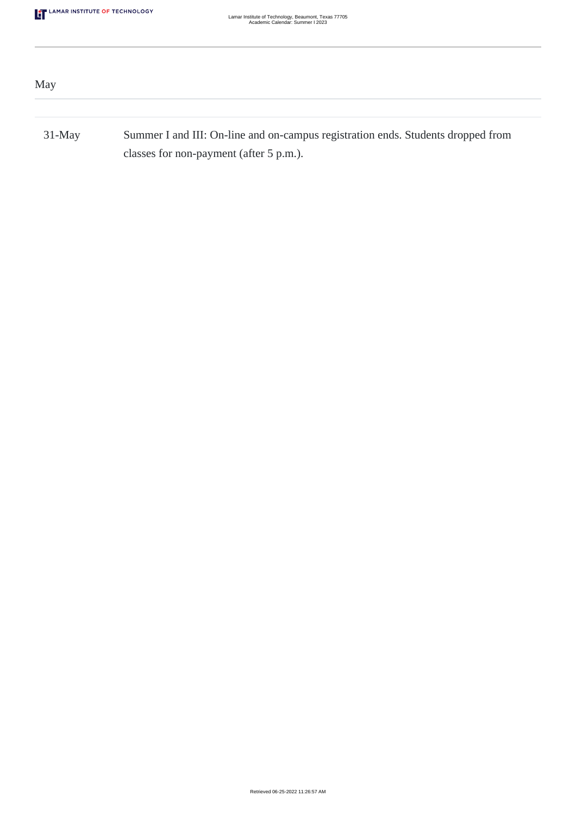| May       |                                                                                                                             |
|-----------|-----------------------------------------------------------------------------------------------------------------------------|
|           |                                                                                                                             |
| $31$ -May | Summer I and III: On-line and on-campus registration ends. Students dropped from<br>classes for non-payment (after 5 p.m.). |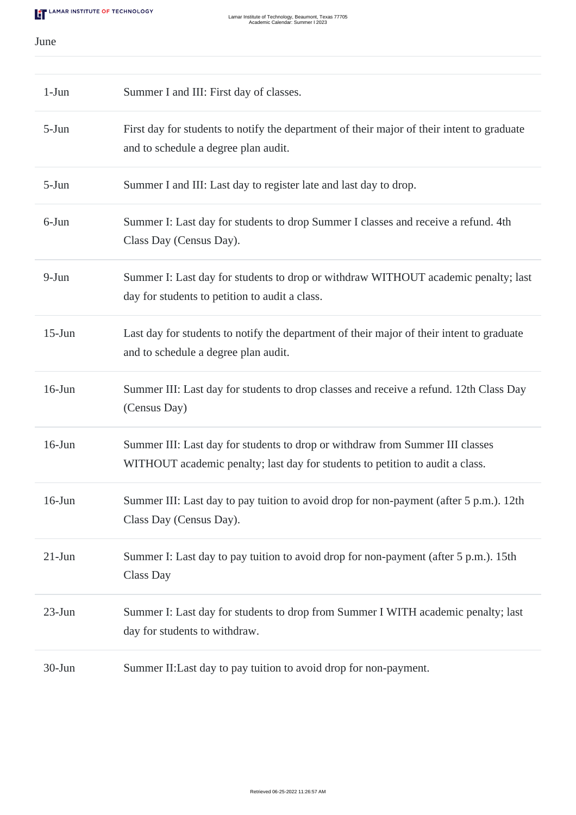June

| $1-Jun$    | Summer I and III: First day of classes.                                                                                                                        |
|------------|----------------------------------------------------------------------------------------------------------------------------------------------------------------|
| $5-Jun$    | First day for students to notify the department of their major of their intent to graduate<br>and to schedule a degree plan audit.                             |
| $5-Jun$    | Summer I and III: Last day to register late and last day to drop.                                                                                              |
| 6-Jun      | Summer I: Last day for students to drop Summer I classes and receive a refund. 4th<br>Class Day (Census Day).                                                  |
| $9-Jun$    | Summer I: Last day for students to drop or withdraw WITHOUT academic penalty; last<br>day for students to petition to audit a class.                           |
| $15$ -Jun  | Last day for students to notify the department of their major of their intent to graduate<br>and to schedule a degree plan audit.                              |
| $16$ -Jun  | Summer III: Last day for students to drop classes and receive a refund. 12th Class Day<br>(Census Day)                                                         |
| $16$ -Jun  | Summer III: Last day for students to drop or withdraw from Summer III classes<br>WITHOUT academic penalty; last day for students to petition to audit a class. |
| $16$ -Jun  | Summer III: Last day to pay tuition to avoid drop for non-payment (after 5 p.m.). 12th<br>Class Day (Census Day).                                              |
| $21-Jun$   | Summer I: Last day to pay tuition to avoid drop for non-payment (after 5 p.m.). 15th<br><b>Class Day</b>                                                       |
| $23$ -Jun  | Summer I: Last day for students to drop from Summer I WITH academic penalty; last<br>day for students to withdraw.                                             |
| $30 - Jun$ | Summer II: Last day to pay tuition to avoid drop for non-payment.                                                                                              |